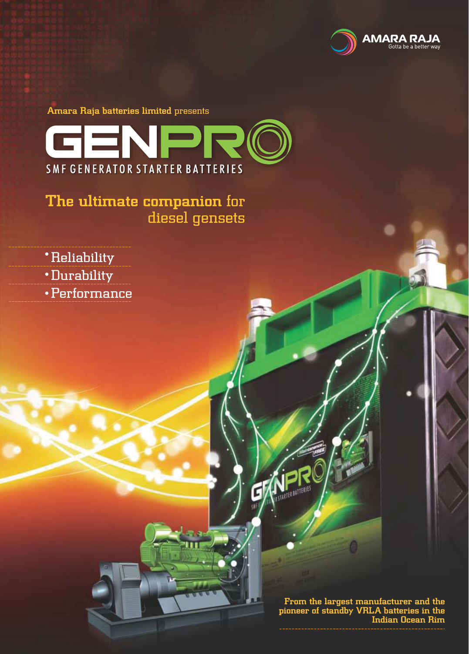

Amara Raja batteries limited presents



The ultimate companion for diesel gensets

- Reliability
- Durability
- Performance

From the largest manufacturer and the pioneer of standby VRLA batteries in the Indian Ocean Rim